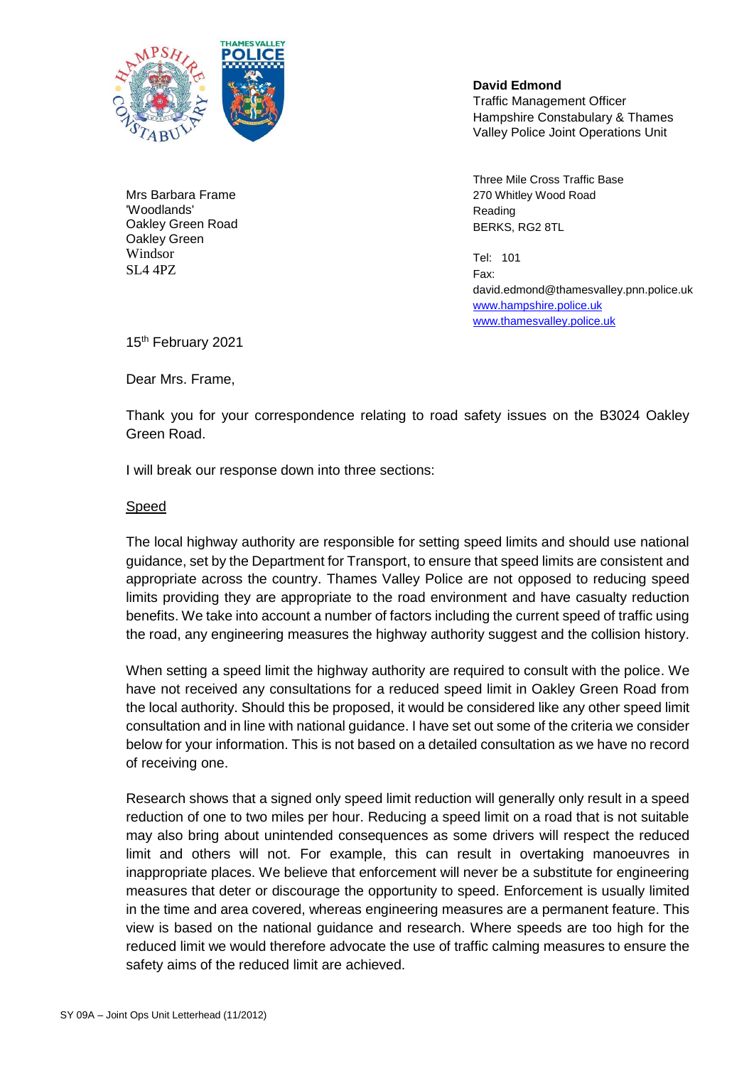

Mrs Barbara Frame 'Woodlands' Oakley Green Road Oakley Green Windsor SL4 4PZ

 **David Edmond** Traffic Management Officer Hampshire Constabulary & Thames Valley Police Joint Operations Unit

Three Mile Cross Traffic Base 270 Whitley Wood Road Reading BERKS, RG2 8TL

Tel: 101 Fax: david.edmond@thamesvalley.pnn.police.uk [www.hampshire.police.uk](http://www.hampshire.police.uk/) [www.thamesvalley.police.uk](http://www.thamesvalley.police.uk/)

15<sup>th</sup> February 2021

Dear Mrs. Frame,

Thank you for your correspondence relating to road safety issues on the B3024 Oakley Green Road.

I will break our response down into three sections:

## Speed

The local highway authority are responsible for setting speed limits and should use national guidance, set by the Department for Transport, to ensure that speed limits are consistent and appropriate across the country. Thames Valley Police are not opposed to reducing speed limits providing they are appropriate to the road environment and have casualty reduction benefits. We take into account a number of factors including the current speed of traffic using the road, any engineering measures the highway authority suggest and the collision history.

When setting a speed limit the highway authority are required to consult with the police. We have not received any consultations for a reduced speed limit in Oakley Green Road from the local authority. Should this be proposed, it would be considered like any other speed limit consultation and in line with national guidance. I have set out some of the criteria we consider below for your information. This is not based on a detailed consultation as we have no record of receiving one.

Research shows that a signed only speed limit reduction will generally only result in a speed reduction of one to two miles per hour. Reducing a speed limit on a road that is not suitable may also bring about unintended consequences as some drivers will respect the reduced limit and others will not. For example, this can result in overtaking manoeuvres in inappropriate places. We believe that enforcement will never be a substitute for engineering measures that deter or discourage the opportunity to speed. Enforcement is usually limited in the time and area covered, whereas engineering measures are a permanent feature. This view is based on the national guidance and research. Where speeds are too high for the reduced limit we would therefore advocate the use of traffic calming measures to ensure the safety aims of the reduced limit are achieved.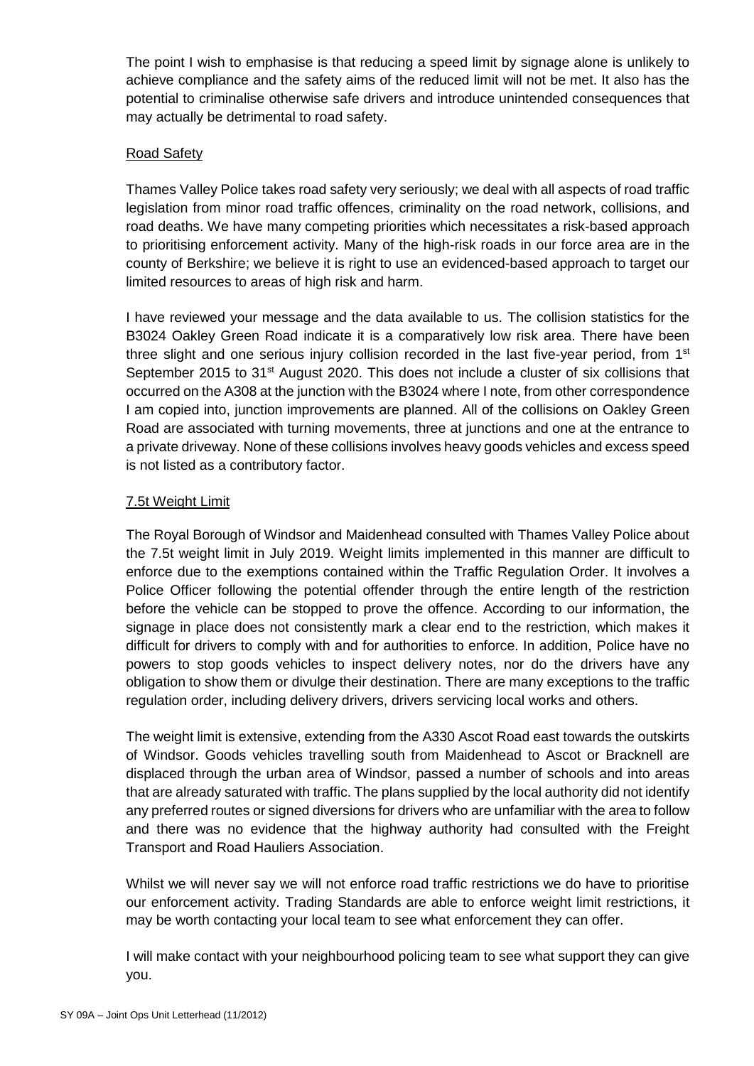The point I wish to emphasise is that reducing a speed limit by signage alone is unlikely to achieve compliance and the safety aims of the reduced limit will not be met. It also has the potential to criminalise otherwise safe drivers and introduce unintended consequences that may actually be detrimental to road safety.

## Road Safety

Thames Valley Police takes road safety very seriously; we deal with all aspects of road traffic legislation from minor road traffic offences, criminality on the road network, collisions, and road deaths. We have many competing priorities which necessitates a risk-based approach to prioritising enforcement activity. Many of the high-risk roads in our force area are in the county of Berkshire; we believe it is right to use an evidenced-based approach to target our limited resources to areas of high risk and harm.

I have reviewed your message and the data available to us. The collision statistics for the B3024 Oakley Green Road indicate it is a comparatively low risk area. There have been three slight and one serious injury collision recorded in the last five-year period, from  $1<sup>st</sup>$ September 2015 to  $31<sup>st</sup>$  August 2020. This does not include a cluster of six collisions that occurred on the A308 at the junction with the B3024 where I note, from other correspondence I am copied into, junction improvements are planned. All of the collisions on Oakley Green Road are associated with turning movements, three at junctions and one at the entrance to a private driveway. None of these collisions involves heavy goods vehicles and excess speed is not listed as a contributory factor.

## 7.5t Weight Limit

The Royal Borough of Windsor and Maidenhead consulted with Thames Valley Police about the 7.5t weight limit in July 2019. Weight limits implemented in this manner are difficult to enforce due to the exemptions contained within the Traffic Regulation Order. It involves a Police Officer following the potential offender through the entire length of the restriction before the vehicle can be stopped to prove the offence. According to our information, the signage in place does not consistently mark a clear end to the restriction, which makes it difficult for drivers to comply with and for authorities to enforce. In addition, Police have no powers to stop goods vehicles to inspect delivery notes, nor do the drivers have any obligation to show them or divulge their destination. There are many exceptions to the traffic regulation order, including delivery drivers, drivers servicing local works and others.

The weight limit is extensive, extending from the A330 Ascot Road east towards the outskirts of Windsor. Goods vehicles travelling south from Maidenhead to Ascot or Bracknell are displaced through the urban area of Windsor, passed a number of schools and into areas that are already saturated with traffic. The plans supplied by the local authority did not identify any preferred routes or signed diversions for drivers who are unfamiliar with the area to follow and there was no evidence that the highway authority had consulted with the Freight Transport and Road Hauliers Association.

Whilst we will never say we will not enforce road traffic restrictions we do have to prioritise our enforcement activity. Trading Standards are able to enforce weight limit restrictions, it may be worth contacting your local team to see what enforcement they can offer.

I will make contact with your neighbourhood policing team to see what support they can give you.